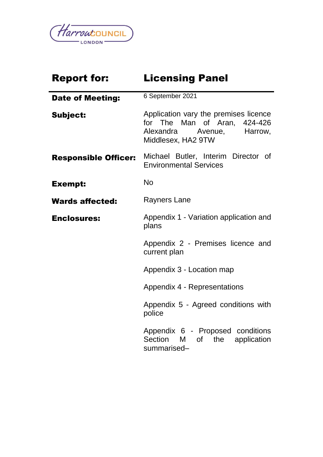

| <b>Report for:</b>          | <b>Licensing Panel</b>                                                                                                                                                                                                                                                                                                                                                                                                                                                                                                                               |  |  |
|-----------------------------|------------------------------------------------------------------------------------------------------------------------------------------------------------------------------------------------------------------------------------------------------------------------------------------------------------------------------------------------------------------------------------------------------------------------------------------------------------------------------------------------------------------------------------------------------|--|--|
| <b>Date of Meeting:</b>     | 6 September 2021                                                                                                                                                                                                                                                                                                                                                                                                                                                                                                                                     |  |  |
| <b>Subject:</b>             | Application vary the premises licence<br>for The Man of Aran, 424-426<br>Alexandra<br>Avenue, Harrow,<br>Middlesex, HA2 9TW                                                                                                                                                                                                                                                                                                                                                                                                                          |  |  |
| <b>Responsible Officer:</b> | Michael Butler, Interim Director of<br><b>Environmental Services</b>                                                                                                                                                                                                                                                                                                                                                                                                                                                                                 |  |  |
| <b>Exempt:</b>              | <b>No</b>                                                                                                                                                                                                                                                                                                                                                                                                                                                                                                                                            |  |  |
| <b>Wards affected:</b>      | Rayners Lane                                                                                                                                                                                                                                                                                                                                                                                                                                                                                                                                         |  |  |
| <b>Enclosures:</b>          | Appendix 1 - Variation application and<br>plans<br>Appendix 2 - Premises licence and<br>current plan                                                                                                                                                                                                                                                                                                                                                                                                                                                 |  |  |
|                             |                                                                                                                                                                                                                                                                                                                                                                                                                                                                                                                                                      |  |  |
|                             | Appendix 3 - Location map                                                                                                                                                                                                                                                                                                                                                                                                                                                                                                                            |  |  |
|                             | Appendix 4 - Representations                                                                                                                                                                                                                                                                                                                                                                                                                                                                                                                         |  |  |
|                             | Appendix 5 - Agreed conditions with<br>police                                                                                                                                                                                                                                                                                                                                                                                                                                                                                                        |  |  |
|                             | Appendix 6 - Proposed conditions<br>Section<br>application<br>M and the set of the set of the set of the set of the set of the set of the set of the set of the set of the set of the set of the set of the set of the set of the set of the set of the set of the set of the set of the set<br>of the origin of the original random control. The control of the control of the control of the control of the control of the control of the control of the control of the control of the control of the control of the control<br>the<br>summarised- |  |  |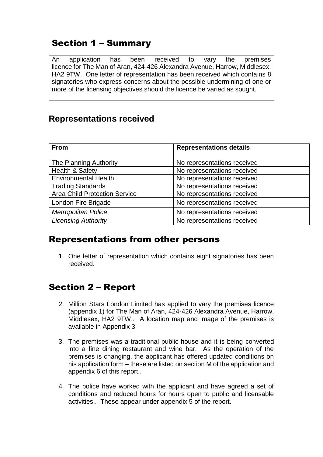### Section 1 – Summary

An application has been received to vary the premises licence for The Man of Aran, 424-426 Alexandra Avenue, Harrow, Middlesex, HA2 9TW. One letter of representation has been received which contains 8 signatories who express concerns about the possible undermining of one or more of the licensing objectives should the licence be varied as sought.

#### **Representations received**

| <b>From</b>                          | <b>Representations details</b> |
|--------------------------------------|--------------------------------|
|                                      |                                |
| The Planning Authority               | No representations received    |
| <b>Health &amp; Safety</b>           | No representations received    |
| <b>Environmental Health</b>          | No representations received    |
| <b>Trading Standards</b>             | No representations received    |
| <b>Area Child Protection Service</b> | No representations received    |
| London Fire Brigade                  | No representations received    |
| <b>Metropolitan Police</b>           | No representations received    |
| <b>Licensing Authority</b>           | No representations received    |

#### Representations from other persons

1. One letter of representation which contains eight signatories has been received.

## Section 2 – Report

- 2. Million Stars London Limited has applied to vary the premises licence (appendix 1) for The Man of Aran, 424-426 Alexandra Avenue, Harrow, Middlesex, HA2 9TW.. A location map and image of the premises is available in Appendix 3
- 3. The premises was a traditional public house and it is being converted into a fine dining restaurant and wine bar. As the operation of the premises is changing, the applicant has offered updated conditions on his application form – these are listed on section M of the application and appendix 6 of this report..
- 4. The police have worked with the applicant and have agreed a set of conditions and reduced hours for hours open to public and licensable activities.. These appear under appendix 5 of the report.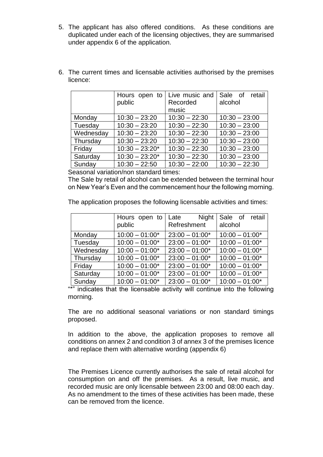- 5. The applicant has also offered conditions. As these conditions are duplicated under each of the licensing objectives, they are summarised under appendix 6 of the application.
- 6. The current times and licensable activities authorised by the premises licence:

|           | Hours open to    | Live music and  | Sale of retail  |
|-----------|------------------|-----------------|-----------------|
|           | public           | Recorded        | alcohol         |
|           |                  | music           |                 |
| Monday    | $10:30 - 23:20$  | $10:30 - 22:30$ | $10:30 - 23:00$ |
| Tuesday   | $10:30 - 23:20$  | $10:30 - 22:30$ | $10:30 - 23:00$ |
| Wednesday | $10:30 - 23:20$  | $10:30 - 22:30$ | $10:30 - 23:00$ |
| Thursday  | $10:30 - 23:20$  | $10:30 - 22:30$ | $10:30 - 23:00$ |
| Friday    | $10:30 - 23:20*$ | $10:30 - 22:30$ | $10:30 - 23:00$ |
| Saturday  | $10:30 - 23:20*$ | $10:30 - 22:30$ | $10:30 - 23:00$ |
| Sunday    | $10:30 - 22:50$  | $10:30 - 22:00$ | $10:30 - 22:30$ |

Seasonal variation/non standard times:

The Sale by retail of alcohol can be extended between the terminal hour on New Year's Even and the commencement hour the following morning.

The application proposes the following licensable activities and times:

|           | public           | Hours open to Late Night<br>Refreshment | Sale of retail<br>alcohol |
|-----------|------------------|-----------------------------------------|---------------------------|
| Monday    | $10:00 - 01:00*$ | $23:00 - 01:00*$                        | $10:00 - 01:00*$          |
| Tuesday   | $10:00 - 01:00*$ | $23:00 - 01:00*$                        | $10:00 - 01:00*$          |
| Wednesday | $10:00 - 01:00*$ | $23:00 - 01:00*$                        | $10:00 - 01:00*$          |
| Thursday  | $10:00 - 01:00*$ | $23:00 - 01:00*$                        | $10:00 - 01:00*$          |
| Friday    | $10:00 - 01:00*$ | $23:00 - 01:00*$                        | $10:00 - 01:00*$          |
| Saturday  | $10:00 - 01:00*$ | $23:00 - 01:00*$                        | $10:00 - 01:00*$          |
| Sunday    | $10:00 - 01:00*$ | $23:00 - 01:00*$                        | $10:00 - 01:00*$          |

"\*" indicates that the licensable activity will continue into the following morning.

The are no additional seasonal variations or non standard timings proposed.

In addition to the above, the application proposes to remove all conditions on annex 2 and condition 3 of annex 3 of the premises licence and replace them with alternative wording (appendix 6)

The Premises Licence currently authorises the sale of retail alcohol for consumption on and off the premises. As a result, live music, and recorded music are only licensable between 23:00 and 08:00 each day. As no amendment to the times of these activities has been made, these can be removed from the licence.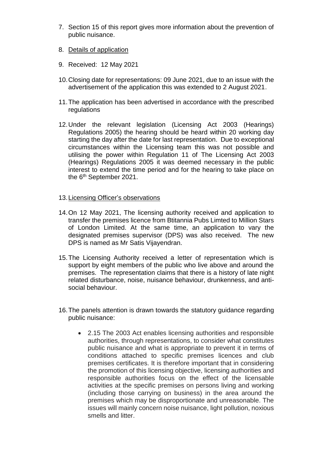- 7. Section 15 of this report gives more information about the prevention of public nuisance.
- 8. Details of application
- 9. Received: 12 May 2021
- 10.Closing date for representations: 09 June 2021, due to an issue with the advertisement of the application this was extended to 2 August 2021.
- 11.The application has been advertised in accordance with the prescribed regulations
- 12.Under the relevant legislation (Licensing Act 2003 (Hearings) Regulations 2005) the hearing should be heard within 20 working day starting the day after the date for last representation. Due to exceptional circumstances within the Licensing team this was not possible and utilising the power within Regulation 11 of The Licensing Act 2003 (Hearings) Regulations 2005 it was deemed necessary in the public interest to extend the time period and for the hearing to take place on the 6<sup>th</sup> September 2021.

#### 13.Licensing Officer's observations

- 14.On 12 May 2021, The licensing authority received and application to transfer the premises licence from Btitannia Pubs Limted to Million Stars of London Limited. At the same time, an application to vary the designated premises supervisor (DPS) was also received. The new DPS is named as Mr Satis Vijayendran.
- 15.The Licensing Authority received a letter of representation which is support by eight members of the public who live above and around the premises. The representation claims that there is a history of late night related disturbance, noise, nuisance behaviour, drunkenness, and antisocial behaviour.
- 16.The panels attention is drawn towards the statutory guidance regarding public nuisance:
	- 2.15 The 2003 Act enables licensing authorities and responsible authorities, through representations, to consider what constitutes public nuisance and what is appropriate to prevent it in terms of conditions attached to specific premises licences and club premises certificates. It is therefore important that in considering the promotion of this licensing objective, licensing authorities and responsible authorities focus on the effect of the licensable activities at the specific premises on persons living and working (including those carrying on business) in the area around the premises which may be disproportionate and unreasonable. The issues will mainly concern noise nuisance, light pollution, noxious smells and litter.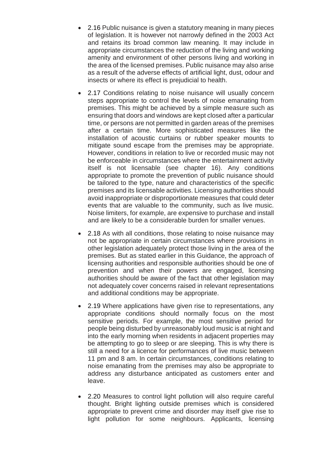- 2.16 Public nuisance is given a statutory meaning in many pieces of legislation. It is however not narrowly defined in the 2003 Act and retains its broad common law meaning. It may include in appropriate circumstances the reduction of the living and working amenity and environment of other persons living and working in the area of the licensed premises. Public nuisance may also arise as a result of the adverse effects of artificial light, dust, odour and insects or where its effect is prejudicial to health.
- 2.17 Conditions relating to noise nuisance will usually concern steps appropriate to control the levels of noise emanating from premises. This might be achieved by a simple measure such as ensuring that doors and windows are kept closed after a particular time, or persons are not permitted in garden areas of the premises after a certain time. More sophisticated measures like the installation of acoustic curtains or rubber speaker mounts to mitigate sound escape from the premises may be appropriate. However, conditions in relation to live or recorded music may not be enforceable in circumstances where the entertainment activity itself is not licensable (see chapter 16). Any conditions appropriate to promote the prevention of public nuisance should be tailored to the type, nature and characteristics of the specific premises and its licensable activities. Licensing authorities should avoid inappropriate or disproportionate measures that could deter events that are valuable to the community, such as live music. Noise limiters, for example, are expensive to purchase and install and are likely to be a considerable burden for smaller venues.
- 2.18 As with all conditions, those relating to noise nuisance may not be appropriate in certain circumstances where provisions in other legislation adequately protect those living in the area of the premises. But as stated earlier in this Guidance, the approach of licensing authorities and responsible authorities should be one of prevention and when their powers are engaged, licensing authorities should be aware of the fact that other legislation may not adequately cover concerns raised in relevant representations and additional conditions may be appropriate.
- 2.19 Where applications have given rise to representations, any appropriate conditions should normally focus on the most sensitive periods. For example, the most sensitive period for people being disturbed by unreasonably loud music is at night and into the early morning when residents in adjacent properties may be attempting to go to sleep or are sleeping. This is why there is still a need for a licence for performances of live music between 11 pm and 8 am. In certain circumstances, conditions relating to noise emanating from the premises may also be appropriate to address any disturbance anticipated as customers enter and leave.
- 2.20 Measures to control light pollution will also require careful thought. Bright lighting outside premises which is considered appropriate to prevent crime and disorder may itself give rise to light pollution for some neighbours. Applicants, licensing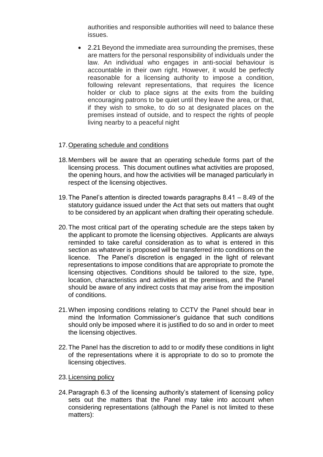authorities and responsible authorities will need to balance these issues.

 2.21 Beyond the immediate area surrounding the premises, these are matters for the personal responsibility of individuals under the law. An individual who engages in anti-social behaviour is accountable in their own right. However, it would be perfectly reasonable for a licensing authority to impose a condition, following relevant representations, that requires the licence holder or club to place signs at the exits from the building encouraging patrons to be quiet until they leave the area, or that, if they wish to smoke, to do so at designated places on the premises instead of outside, and to respect the rights of people living nearby to a peaceful night

#### 17.Operating schedule and conditions

- 18.Members will be aware that an operating schedule forms part of the licensing process. This document outlines what activities are proposed, the opening hours, and how the activities will be managed particularly in respect of the licensing objectives.
- 19.The Panel's attention is directed towards paragraphs 8.41 8.49 of the statutory guidance issued under the Act that sets out matters that ought to be considered by an applicant when drafting their operating schedule.
- 20.The most critical part of the operating schedule are the steps taken by the applicant to promote the licensing objectives. Applicants are always reminded to take careful consideration as to what is entered in this section as whatever is proposed will be transferred into conditions on the licence. The Panel's discretion is engaged in the light of relevant representations to impose conditions that are appropriate to promote the licensing objectives. Conditions should be tailored to the size, type, location, characteristics and activities at the premises, and the Panel should be aware of any indirect costs that may arise from the imposition of conditions.
- 21.When imposing conditions relating to CCTV the Panel should bear in mind the Information Commissioner's guidance that such conditions should only be imposed where it is justified to do so and in order to meet the licensing objectives.
- 22.The Panel has the discretion to add to or modify these conditions in light of the representations where it is appropriate to do so to promote the licensing objectives.
- 23.Licensing policy
- 24.Paragraph 6.3 of the licensing authority's statement of licensing policy sets out the matters that the Panel may take into account when considering representations (although the Panel is not limited to these matters):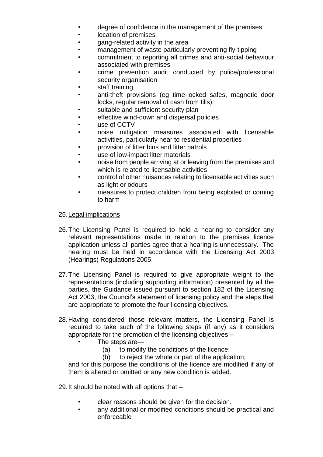- degree of confidence in the management of the premises
- location of premises
- gang-related activity in the area
- management of waste particularly preventing fly-tipping
- commitment to reporting all crimes and anti-social behaviour associated with premises
- crime prevention audit conducted by police/professional security organisation
- staff training
- anti-theft provisions (eg time-locked safes, magnetic door locks, regular removal of cash from tills)
- suitable and sufficient security plan
- effective wind-down and dispersal policies
- use of CCTV
- noise mitigation measures associated with licensable activities, particularly near to residential properties
- provision of litter bins and litter patrols
- use of low-impact litter materials
- noise from people arriving at or leaving from the premises and which is related to licensable activities
- control of other nuisances relating to licensable activities such as light or odours
- measures to protect children from being exploited or coming to harm

25.Legal implications

- 26.The Licensing Panel is required to hold a hearing to consider any relevant representations made in relation to the premises licence application unless all parties agree that a hearing is unnecessary. The hearing must be held in accordance with the Licensing Act 2003 (Hearings) Regulations 2005.
- 27.The Licensing Panel is required to give appropriate weight to the representations (including supporting information) presented by all the parties, the Guidance issued pursuant to section 182 of the Licensing Act 2003, the Council's statement of licensing policy and the steps that are appropriate to promote the four licensing objectives.
- 28.Having considered those relevant matters, the Licensing Panel is required to take such of the following steps (if any) as it considers appropriate for the promotion of the licensing objectives –
	- The steps are-
		- (a) to modify the conditions of the licence;
		- (b) to reject the whole or part of the application;

and for this purpose the conditions of the licence are modified if any of them is altered or omitted or any new condition is added.

29.It should be noted with all options that –

- clear reasons should be given for the decision.
- any additional or modified conditions should be practical and enforceable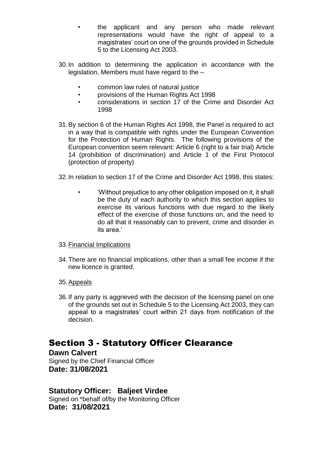- the applicant and any person who made relevant representations would have the right of appeal to a magistrates' court on one of the grounds provided in Schedule 5 to the Licensing Act 2003.
- 30.In addition to determining the application in accordance with the legislation, Members must have regard to the –
	- common law rules of natural justice
	- provisions of the Human Rights Act 1998
	- considerations in section 17 of the Crime and Disorder Act 1998
- 31.By section 6 of the Human Rights Act 1998, the Panel is required to act in a way that is compatible with rights under the European Convention for the Protection of Human Rights. The following provisions of the European convention seem relevant: Article 6 (right to a fair trial) Article 14 (prohibition of discrimination) and Article 1 of the First Protocol (protection of property)
- 32.In relation to section 17 of the Crime and Disorder Act 1998, this states:
	- 'Without prejudice to any other obligation imposed on it, it shall be the duty of each authority to which this section applies to exercise its various functions with due regard to the likely effect of the exercise of those functions on, and the need to do all that it reasonably can to prevent, crime and disorder in its area.'
- 33.Financial Implications
- 34.There are no financial implications, other than a small fee income if the new licence is granted.
- 35.Appeals
- 36.If any party is aggrieved with the decision of the licensing panel on one of the grounds set out in Schedule 5 to the Licensing Act 2003, they can appeal to a magistrates' court within 21 days from notification of the decision.

#### Section 3 - Statutory Officer Clearance

**Dawn Calvert** Signed by the Chief Financial Officer **Date: 31/08/2021**

#### **Statutory Officer: Baljeet Virdee**

Signed on \*behalf of/by the Monitoring Officer **Date: 31/08/2021**